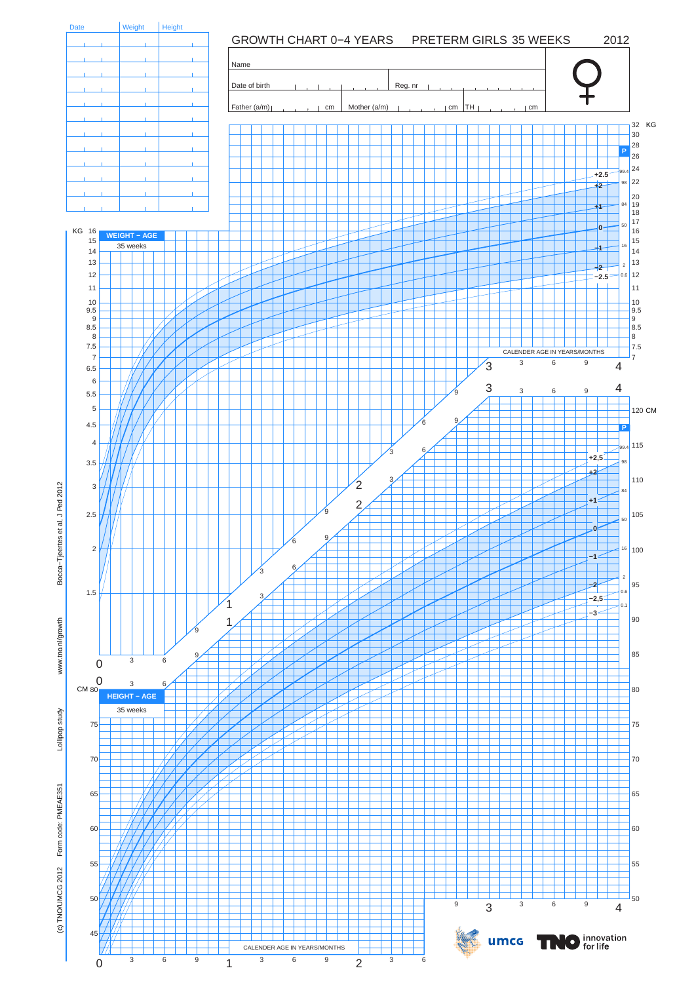